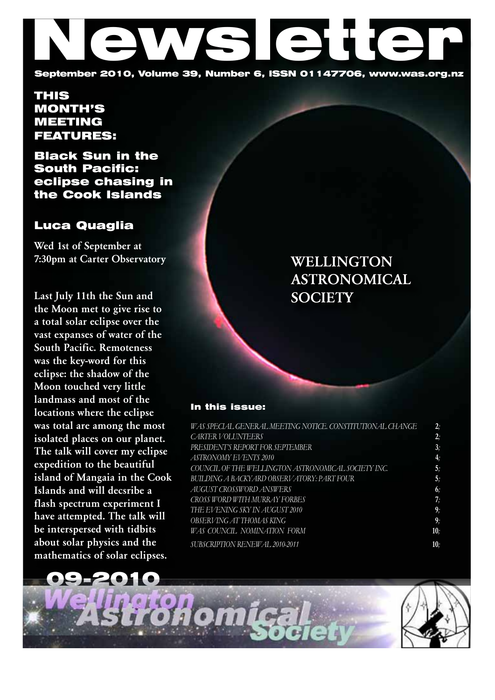# Newsletter September 2010, Volume 39, Number 6, ISSN 01147706, www.was.org.nz

THIS MONTH'S MEETING FEATURES:

Black Sun in the South Pacific: eclipse chasing in the Cook Islands

## Luca Quaglia

Wed 1st of September at 7:30pm at Carter Observatory

Last July 11th the Sun and the Moon met to give rise to a total solar eclipse over the vast expanses of water of the South Pacific. Remoteness was the key-word for this eclipse: the shadow of the Moon touched very little landmass and most of the locations where the eclipse was total are among the most isolated places on our planet. The talk will cover my eclipse expedition to the beautiful island of Mangaia in the Cook Islands and will decsribe a flash spectrum experiment I have attempted. The talk will be interspersed with tidbits about solar physics and the mathematics of solar eclipses.

# WELLINGTON ASTRONOMICAL **SOCIETY**

### In this issue:

| <b>CARTER VOLUNTEERS</b><br>PRESIDENT'S REPORT FOR SEPTEMBER<br>ASTRONOMY EVENTS 2010<br>COUNCIL OF THE WELLINGTON ASTRONOMICAL SOCIETY INC.<br>BUILDING A BACKYARD OBSERVATORY: PART FOUR<br>AUGUST CROSSWORD ANSWERS<br>CROSS WORD WITH MURRAY FORBES<br>THE EVENING SKY IN AUGUST 2010<br>OBSERVING AT THOMAS KING<br><b>WAS COUNCIL NOMINATION FORM</b><br>SUBSCRIPTION RENEWAL 2010-2011 | WAS SPECIAL GENERAL MEETING NOTICE. CONSTITUTIONAL CHANGE | 2;             |
|-----------------------------------------------------------------------------------------------------------------------------------------------------------------------------------------------------------------------------------------------------------------------------------------------------------------------------------------------------------------------------------------------|-----------------------------------------------------------|----------------|
|                                                                                                                                                                                                                                                                                                                                                                                               |                                                           | 2;             |
|                                                                                                                                                                                                                                                                                                                                                                                               |                                                           | 3,             |
|                                                                                                                                                                                                                                                                                                                                                                                               |                                                           | 4;             |
|                                                                                                                                                                                                                                                                                                                                                                                               |                                                           | 5,             |
|                                                                                                                                                                                                                                                                                                                                                                                               |                                                           | 5,             |
|                                                                                                                                                                                                                                                                                                                                                                                               |                                                           | 6;             |
|                                                                                                                                                                                                                                                                                                                                                                                               |                                                           | 7;             |
|                                                                                                                                                                                                                                                                                                                                                                                               |                                                           | 9 <sub>i</sub> |
|                                                                                                                                                                                                                                                                                                                                                                                               |                                                           | 9;             |
|                                                                                                                                                                                                                                                                                                                                                                                               |                                                           | 10:            |
|                                                                                                                                                                                                                                                                                                                                                                                               |                                                           | 10:            |

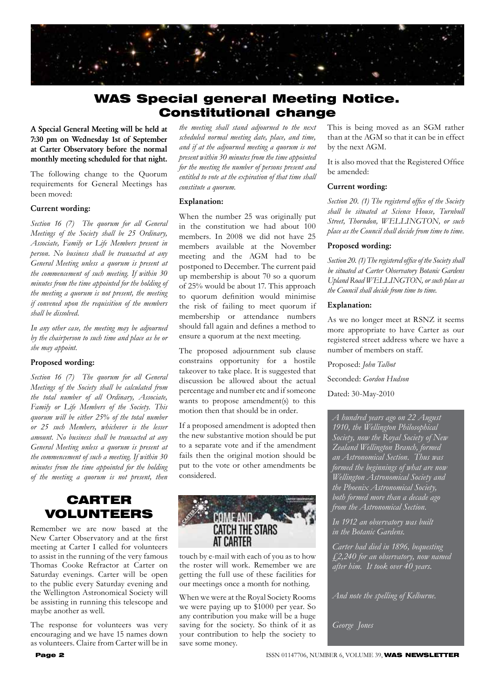

## WAS Special general Meeting Notice. Constitutional change

A Special General Meeting will be held at 7:30 pm on Wednesday 1st of September at Carter Observatory before the normal monthly meeting scheduled for that night.

The following change to the Quorum requirements for General Meetings has been moved:

#### Current wording:

*Section 16 (7) The quorum for all General Meetings of the Society shall be 25 Ordinary, Associate, Family or Life Members present in person. No business shall be transacted at any General Meeting unless a quorum is present at the commencement of such meeting. If within 30 minutes from the time appointed for the holding of the meeting a quorum is not present, the meeting if convened upon the requisition of the members shall be dissolved.*

*In any other case, the meeting may be adjourned by the chairperson to such time and place as he or she may appoint.*

#### Proposed wording:

*Section 16 (7) The quorum for all General Meetings of the Society shall be calculated from the total number of all Ordinary, Associate, Family or Life Members of the Society. This quorum will be either 25% of the total number or 25 such Members, whichever is the lesser amount. No business shall be transacted at any General Meeting unless a quorum is present at the commencement of such a meeting. If within 30 minutes from the time appointed for the holding of the meeting a quorum is not present, then* 

## CARTER VOLUNTEERS

Remember we are now based at the New Carter Observatory and at the first meeting at Carter I called for volunteers to assist in the running of the very famous Thomas Cooke Refractor at Carter on Saturday evenings. Carter will be open to the public every Saturday evening and the Wellington Astronomical Society will be assisting in running this telescope and maybe another as well.

The response for volunteers was very encouraging and we have 15 names down as volunteers. Claire from Carter will be in

*the meeting shall stand adjourned to the next scheduled normal meeting date, place, and time, and if at the adjourned meeting a quorum is not present within 30 minutes from the time appointed for the meeting the number of persons present and entitled to vote at the expiration of that time shall constitute a quorum.*

#### Explanation:

When the number 25 was originally put in the constitution we had about 100 members. In 2008 we did not have 25 members available at the November meeting and the AGM had to be postponed to December. The current paid up membership is about 70 so a quorum of 25% would be about 17. This approach to quorum definition would minimise the risk of failing to meet quorum if membership or attendance numbers should fall again and defines a method to ensure a quorum at the next meeting.

The proposed adjournment sub clause constrains opportunity for a hostile takeover to take place. It is suggested that discussion be allowed about the actual percentage and number etc and if someone wants to propose amendment(s) to this motion then that should be in order.

If a proposed amendment is adopted then the new substantive motion should be put to a separate vote and if the amendment fails then the original motion should be put to the vote or other amendments be considered.



touch by e-mail with each of you as to how the roster will work. Remember we are getting the full use of these facilities for our meetings once a month for nothing.

When we were at the Royal Society Rooms we were paying up to \$1000 per year. So any contribution you make will be a huge saving for the society. So think of it as your contribution to help the society to save some money.

This is being moved as an SGM rather than at the AGM so that it can be in effect by the next AGM.

It is also moved that the Registered Office be amended:

#### Current wording:

*Section 20. (1) The registered office of the Society shall be situated at Science House, Turnbull Street, Thorndon, WELLINGTON, or such place as the Council shall decide from time to time.*

#### Proposed wording:

*Section 20. (1) The registered office of the Society shall be situated at Carter Observatory Botanic Gardens Upland Road WELLINGTON, or such place as the Council shall decide from time to time.*

#### Explanation:

As we no longer meet at RSNZ it seems more appropriate to have Carter as our registered street address where we have a number of members on staff.

Proposed: *John Talbot*

Seconded: *Gordon Hudson*

Dated: 30-May-2010

*A hundred years ago on 22 August 1910, the Wellington Philosophical Society, now the Royal Society of New Zealand Wellington Branch, formed an Astronomical Section. Thus was formed the beginnings of what are now Wellington Astronomical Society and the Phoenix Astronomical Society, both formed more than a decade ago from the Astronomical Section.*

*In 1912 an observatory was built in the Botanic Gardens.*

*Carter had died in 1896, bequesting £2,240 for an observatory, now named after him. It took over 40 years.*

*And note the spelling of Kelburne.*

*George Jones*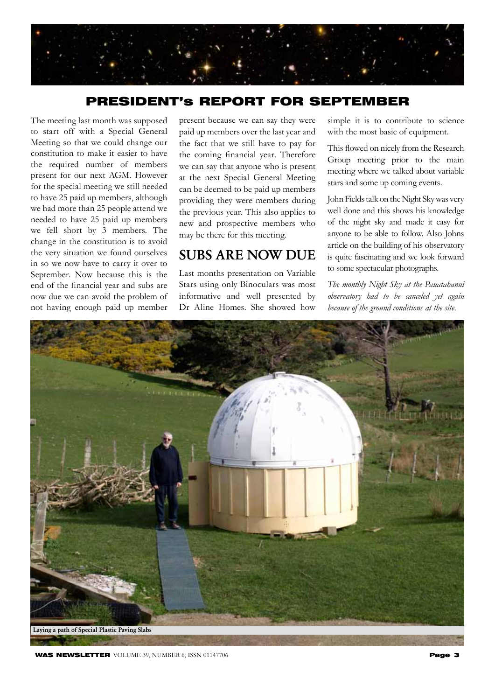

## PRESIDENT's REPORT FOR SEPTEMBER

The meeting last month was supposed to start off with a Special General Meeting so that we could change our constitution to make it easier to have the required number of members present for our next AGM. However for the special meeting we still needed to have 25 paid up members, although we had more than 25 people attend we needed to have 25 paid up members we fell short by 3 members. The change in the constitution is to avoid the very situation we found ourselves in so we now have to carry it over to September. Now because this is the end of the financial year and subs are now due we can avoid the problem of not having enough paid up member

present because we can say they were paid up members over the last year and the fact that we still have to pay for the coming financial year. Therefore we can say that anyone who is present at the next Special General Meeting can be deemed to be paid up members providing they were members during the previous year. This also applies to new and prospective members who may be there for this meeting.

## SUBS ARE NOW DUE

Last months presentation on Variable Stars using only Binoculars was most informative and well presented by Dr Aline Homes. She showed how

simple it is to contribute to science with the most basic of equipment.

This flowed on nicely from the Research Group meeting prior to the main meeting where we talked about variable stars and some up coming events.

John Fields talk on the Night Sky was very well done and this shows his knowledge of the night sky and made it easy for anyone to be able to follow. Also Johns article on the building of his observatory is quite fascinating and we look forward to some spectacular photographs.

*The monthly Night Sky at the Pauatahanui observatory had to be canceled yet again because of the ground conditions at the site.*



**WAS NEWSLETTER** VOLUME 39, NUMBER 6, ISSN 01147706 **Page 3**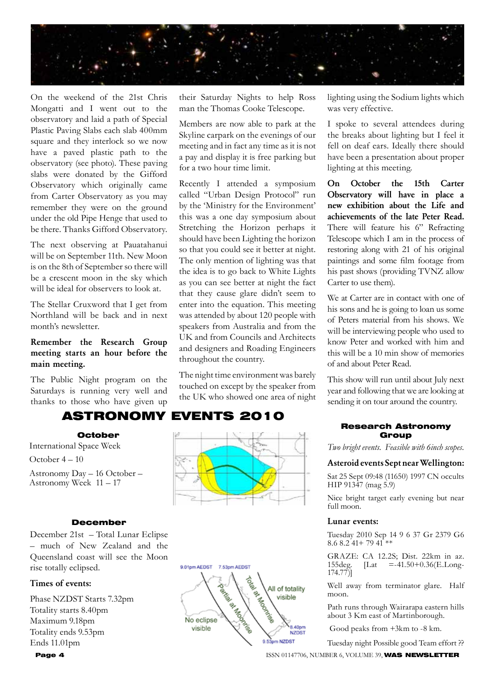

On the weekend of the 21st Chris Mongatti and I went out to the observatory and laid a path of Special Plastic Paving Slabs each slab 400mm square and they interlock so we now have a paved plastic path to the observatory (see photo). These paving slabs were donated by the Gifford Observatory which originally came from Carter Observatory as you may remember they were on the ground under the old Pipe Henge that used to be there. Thanks Gifford Observatory.

The next observing at Pauatahanui will be on September 11th. New Moon is on the 8th of September so there will be a crescent moon in the sky which will be ideal for observers to look at.

The Stellar Cruxword that I get from Northland will be back and in next month's newsletter.

#### Remember the Research Group meeting starts an hour before the main meeting.

The Public Night program on the Saturdays is running very well and thanks to those who have given up

their Saturday Nights to help Ross man the Thomas Cooke Telescope.

Members are now able to park at the Skyline carpark on the evenings of our meeting and in fact any time as it is not a pay and display it is free parking but for a two hour time limit.

Recently I attended a symposium called "Urban Design Protocol" run by the 'Ministry for the Environment' this was a one day symposium about Stretching the Horizon perhaps it should have been Lighting the horizon so that you could see it better at night. The only mention of lighting was that the idea is to go back to White Lights as you can see better at night the fact that they cause glare didn't seem to enter into the equation. This meeting was attended by about 120 people with speakers from Australia and from the UK and from Councils and Architects and designers and Roading Engineers throughout the country.

The night time environment was barely touched on except by the speaker from the UK who showed one area of night

## ASTRONOMY EVENTS 2010

#### October

International Space Week

October 4 – 10 Astronomy Day – 16 October – Astronomy Week 11 – 17

#### December

December 21st – Total Lunar Eclipse – much of New Zealand and the Queensland coast will see the Moon rise totally eclipsed.

#### Times of events:

Phase NZDST Starts 7.32pm Totality starts 8.40pm Maximum 9.18pm Totality ends 9.53pm Ends 11.01pm





lighting using the Sodium lights which was very effective.

I spoke to several attendees during the breaks about lighting but I feel it fell on deaf ears. Ideally there should have been a presentation about proper lighting at this meeting.

On October the 15th Carter Observatory will have in place a new exhibition about the Life and achievements of the late Peter Read. There will feature his 6" Refracting Telescope which I am in the process of restoring along with 21 of his original paintings and some film footage from his past shows (providing TVNZ allow Carter to use them).

We at Carter are in contact with one of his sons and he is going to loan us some of Peters material from his shows. We will be interviewing people who used to know Peter and worked with him and this will be a 10 min show of memories of and about Peter Read.

This show will run until about July next year and following that we are looking at sending it on tour around the country.

#### Research Astronomy Group

*Two bright events. Feasible with 6inch scopes.*

#### Asteroid events Sept near Wellington:

Sat 25 Sept 09:48 (11650) 1997 CN occults HIP 91347 (mag 5.9)

Nice bright target early evening but near full moon.

#### Lunar events:

Tuesday 2010 Sep 14 9 6 37 Gr 2379 G6  $8.6$   $8.2$  41+ 79  $41$  \*\*

GRAZE: CA 12.2S; Dist. 22km in az.<br>155deg. [Lat =-41.50+0.36(E.Long- $[Lat = -41.50 + 0.36(E.Long-$ 174.77)]

Well away from terminator glare. Half moon.

Path runs through Wairarapa eastern hills about 3 Km east of Martinborough.

Good peaks from +3km to -8 km.

Tuesday night Possible good Team effort ??

**Page 4 ISSN 01147706, NUMBER 6, VOLUME 39, WAS NEWSLETTER**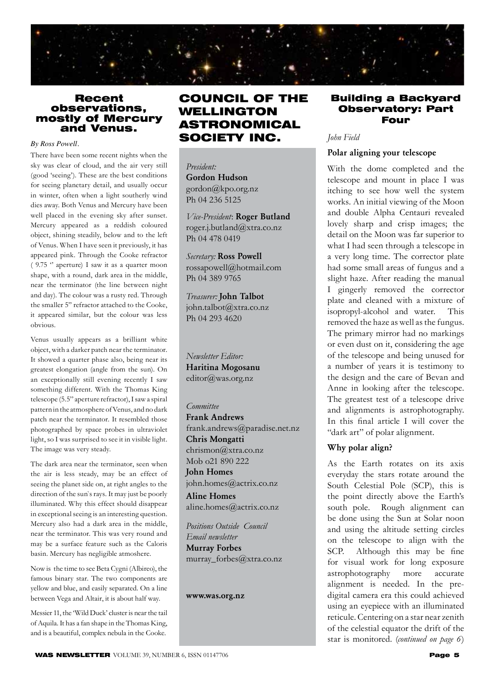

#### Recent observations, mostly of Mercury and Venus.

#### *By Ross Powell.*

There have been some recent nights when the sky was clear of cloud, and the air very still (good 'seeing'). These are the best conditions for seeing planetary detail, and usually occur in winter, often when a light southerly wind dies away. Both Venus and Mercury have been well placed in the evening sky after sunset. Mercury appeared as a reddish coloured object, shining steadily, below and to the left of Venus. When I have seen it previously, it has appeared pink. Through the Cooke refractor ( 9.75 '' aperture) I saw it as a quarter moon shape, with a round, dark area in the middle, near the terminator (the line between night and day). The colour was a rusty red. Through the smaller 5'' refractor attached to the Cooke, it appeared similar, but the colour was less obvious.

Venus usually appears as a brilliant white object, with a darker patch near the terminator. It showed a quarter phase also, being near its greatest elongation (angle from the sun). On an exceptionally still evening recently I saw something different. With the Thomas King telescope (5.5'' aperture refractor), I saw a spiral pattern in the atmosphere of Venus, and no dark patch near the terminator. It resembled those photographed by space probes in ultraviolet light, so I was surprised to see it in visible light. The image was very steady.

The dark area near the terminator, seen when the air is less steady, may be an effect of seeing the planet side on, at right angles to the direction of the sun`s rays. It may just be poorly illuminated. Why this effect should disappear in exceptional seeing is an interesting question. Mercury also had a dark area in the middle, near the terminator. This was very round and may be a surface feature such as the Caloris basin. Mercury has negligible atmoshere.

Now is the time to see Beta Cygni (Albireo), the famous binary star. The two components are yellow and blue, and easily separated. On a line between Vega and Altair, it is about half way.

Messier 11, the 'Wild Duck' cluster is near the tail of Aquila. It has a fan shape in the Thomas King, and is a beautiful, complex nebula in the Cooke.

## COUNCIL OF THE WELLINGTON ASTRONOMICAL SOCIETY INC.

*President:*  Gordon Hudson gordon@kpo.org.nz Ph 04 236 5125

*Vice-President*: Roger Butland roger.j.butland@xtra.co.nz Ph 04 478 0419

*Secretary:* Ross Powell rossapowell@hotmail.com Ph 04 389 9765

*Treasurer:* John Talbot john.talbot@xtra.co.nz Ph 04 293 4620

*Newsletter Editor:*  Haritina Mogosanu editor@was.org.nz

#### *Committee*

Frank Andrews frank.andrews@paradise.net.nz Chris Mongatti chrismon@xtra.co.nz Mob o21 890 222 John Homes john.homes@actrix.co.nz

Aline Homes aline.homes@actrix.co.nz

*Positions Outside Council Email newsletter* Murray Forbes murray\_forbes@xtra.co.nz

www.was.org.nz

#### Building a Backyard Observatory: Part Four

*John Field*

#### Polar aligning your telescope

With the dome completed and the telescope and mount in place I was itching to see how well the system works. An initial viewing of the Moon and double Alpha Centauri revealed lovely sharp and crisp images; the detail on the Moon was far superior to what I had seen through a telescope in a very long time. The corrector plate had some small areas of fungus and a slight haze. After reading the manual I gingerly removed the corrector plate and cleaned with a mixture of isopropyl-alcohol and water. This removed the haze as well as the fungus. The primary mirror had no markings or even dust on it, considering the age of the telescope and being unused for a number of years it is testimony to the design and the care of Bevan and Anne in looking after the telescope. The greatest test of a telescope drive and alignments is astrophotography. In this final article I will cover the "dark art" of polar alignment.

#### Why polar align?

As the Earth rotates on its axis everyday the stars rotate around the South Celestial Pole (SCP), this is the point directly above the Earth's south pole. Rough alignment can be done using the Sun at Solar noon and using the altitude setting circles on the telescope to align with the SCP. Although this may be fine for visual work for long exposure astrophotography more accurate alignment is needed. In the predigital camera era this could achieved using an eyepiece with an illuminated reticule. Centering on a star near zenith of the celestial equator the drift of the star is monitored. (*continued on page 6*)

**WAS NEWSLETTER** VOLUME 39, NUMBER 6, ISSN 01147706 **Page 5**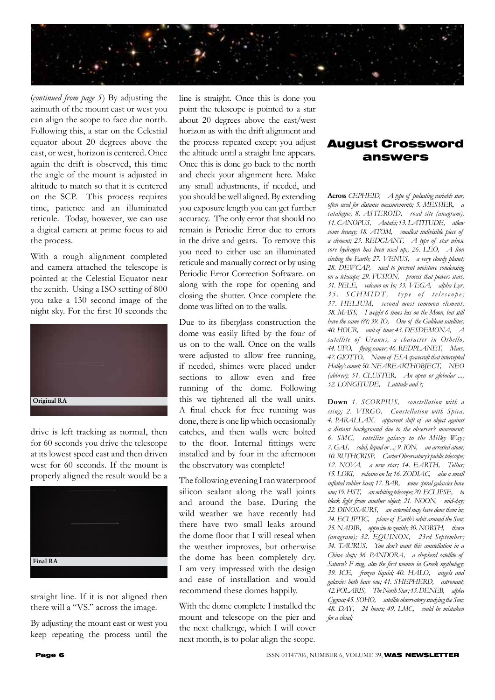

(*continued from page 5*) By adjusting the azimuth of the mount east or west you can align the scope to face due north. Following this, a star on the Celestial equator about 20 degrees above the east, or west, horizon is centered. Once again the drift is observed, this time the angle of the mount is adjusted in altitude to match so that it is centered on the SCP. This process requires time, patience and an illuminated reticule. Today, however, we can use a digital camera at prime focus to aid the process.

With a rough alignment completed and camera attached the telescope is pointed at the Celestial Equator near the zenith. Using a ISO setting of 800 you take a 130 second image of the night sky. For the first 10 seconds the



drive is left tracking as normal, then for 60 seconds you drive the telescope at its lowest speed east and then driven west for 60 seconds. If the mount is properly aligned the result would be a



straight line. If it is not aligned then there will a "VS." across the image.

By adjusting the mount east or west you keep repeating the process until the line is straight. Once this is done you point the telescope is pointed to a star about 20 degrees above the east/west horizon as with the drift alignment and the process repeated except you adjust the altitude until a straight line appears. Once this is done go back to the north and check your alignment here. Make any small adjustments, if needed, and you should be well aligned. By extending you exposure length you can get further accuracy. The only error that should no remain is Periodic Error due to errors in the drive and gears. To remove this you need to either use an illuminated reticule and manually correct or by using Periodic Error Correction Software. on along with the rope for opening and closing the shutter. Once complete the dome was lifted on to the walls.

Due to its fiberglass construction the dome was easily lifted by the four of us on to the wall. Once on the walls were adjusted to allow free running, if needed, shimes were placed under sections to allow even and free running of the dome. Following this we tightened all the wall units. A final check for free running was done, there is one lip which occasionally catches, and then walls were bolted to the floor. Internal fittings were installed and by four in the afternoon the observatory was complete!

The following evening I ran waterproof silicon sealant along the wall joints and around the base. During the wild weather we have recently had there have two small leaks around the dome floor that I will reseal when the weather improves, but otherwise the dome has been completely dry. I am very impressed with the design and ease of installation and would recommend these domes happily.

With the dome complete I installed the mount and telescope on the pier and the next challenge, which I will cover next month, is to polar align the scope.

## August Crossword answers

Across *CEPHEID' A type of pulsating variable star, often used for distance measurements; 5. MESSIER' a catalogue; 8. ASTEROID' road site (anagram); 11. CANOPUS' Autahi; 13. LATITUDE' allow some leeway; 18. ATOM' smallest indivisible piece of a element; 23. REDGIANT' A type of star whose core hydrogen has been used up.; 26. LEO' A lion*  circling the Earth; 27. VENUS, a very cloudy planet; *28. DEWCAP' used to prevent moisture condensing on a telescope; 29. FUSION' process that powers stars; 31. PELE' volcano on Io; 33. VEGA' alpha Lyr; 3 5 . S CH M I D T ' t y p e o f t e l e s c o p e ; 37. HELIUM' second most common element; 38. MASS' I weight 6 times less on the Moon, but still have the same ???; 39. IO, One of the Galilean satellites; 40. HOUR' unit of time; 43. DESDEMONA' A satellite of Uranus, a character in Othello; 44. UFO' flying saucer; 46. REDPLANET' Mars;*  47. GIOTTO, Name of ESA spacecraft that intercepted *Halley's comet; 50. NEAREARTHOBJECT' NEO (abbrev); 51. CLUSTER' An open or globular ...; 52. LONGITUDE' Latitude and ?;*

Down *1. SCORPIUS' constellation with a*  sting; 2. VIRGO, Constellation with Spica; *4. PARALLAX' apparent shift of an object against a distant background due to the observer's movement; 6. SMC' satellite galaxy to the Milky Way; 7. GAS' solid, liquid or ...; 9. ION' an arrested atom; 10. RUTHCRISP' Carter Observatory's public telescope; 12. NOVA' a new star; 14. EARTH' Tellus; 15. LOKI' volcano on Io; 16. ZODIAC' also a small inflated rubber boat; 17. BAR' some spiral galaxies have one; 19. HST' an orbiting telescope; 20. ECLIPSE' to block light from another object; 21. NOON' mid-day; 22. DINOSAURS' an asteroid may have done them in; 24. ECLIPTIC' plane of Earth's orbit around the Sun; 25. NADIR' opposite to zenith; 30. NORTH' thorn*  (anagram); 32. EQUINOX, 23rd September; *34. TAURUS' You don't want this constellation in a China shop; 36. PANDORA' a shepherd satellite of Saturn's F ring, also the first women in Greek mythology; 39. ICE' frozen liquid; 40. HALO' angels and galaxies both have one; 41. SHEPHERD' astronaut; 42. POLARIS' The North Star; 43. DENEB' alpha Cygnus; 45. SOHO' satellite observatory studying the Sun; 48. DAY' 24 hours; 49. LMC' could be mistaken for a cloud;*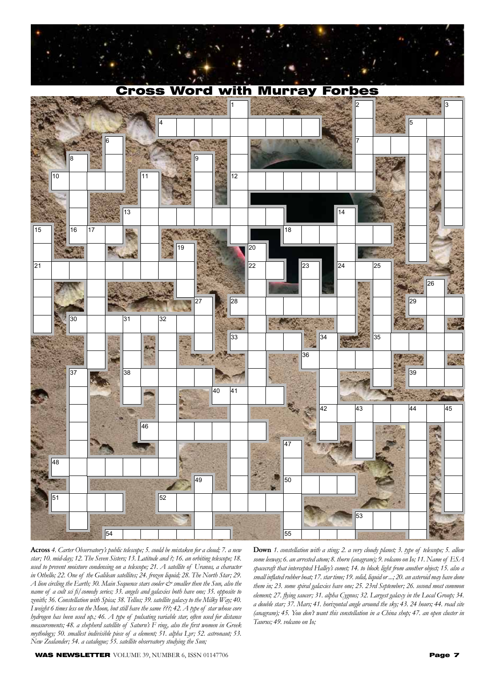



Cross Word with Murray Forbes

Across *4. Carter Observatory's public telescope; 5. could be mistaken for a cloud; 7. a new star; 10. mid-day; 12. The Seven Sisters; 13. Latitude and ?; 16. an orbiting telescope; 18. used to prevent moisture condensing on a telescope; 21. A satellite of Uranus, a character in Othello; 22. One of the Galilean satellites; 24. frozen liquid; 28. The North Star; 29. A lion circling the Earth; 30. Main Sequence stars cooler & smaller then the Sun, also the name of a cult sci fi/comedy series; 33. angels and galaxies both have one; 35. opposite to zenith; 36. Constellation with Spica; 38. Tellus; 39. satellite galaxy to the Milky Way; 40. I weight 6 times less on the Moon, but still have the same ???; 42. A type of star whose core hydrogen has been used up.; 46. A type of pulsating variable star, often used for distance measurements; 48. a shepherd satellite of Saturn's F ring, also the first women in Greek mythology; 50. smallest indivisible piece of a element; 51. alpha Lyr; 52. astronaut; 53. New Zealander; 54. a catalogue; 55. satellite observatory studying the Sun;* 

Down *1. constellation with a sting; 2. a very cloudy planet; 3. type of telescope; 5. allow some leeway; 6. an arrested atom; 8. thorn (anagram); 9. volcano on Io; 11. Name of ESA spacecraft that intercepted Halley's comet; 14. to block light from another object; 15. also a small inflated rubber boat; 17. star time; 19. solid, liquid or ...; 20. an asteroid may have done them in; 23. some spiral galaxies have one; 25. 23rd September; 26. second most common element; 27. flying saucer; 31. alpha Cygnus; 32. Largest galaxy in the Local Group; 34. a double star; 37. Mars; 41. horizontal angle around the sky; 43. 24 hours; 44. road site (anagram); 45. You don't want this constellation in a China shop; 47. an open cluster in Taurus; 49. volcano on Io;*

**WAS NEWSLETTER** VOLUME 39, NUMBER 6, ISSN 01147706 **Page 7**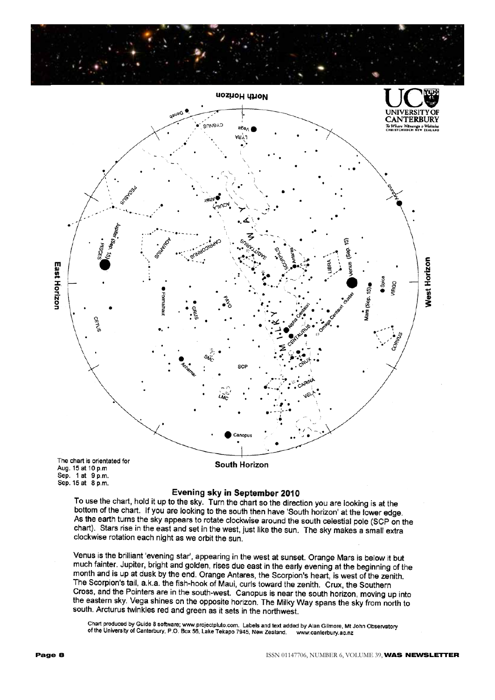



#### Evening sky in September 2010

To use the chart, hold it up to the sky. Turn the chart so the direction you are looking is at the bottom of the chart. If you are looking to the south then have 'South horizon' at the lower edge. As the earth turns the sky appears to rotate clockwise around the south celestial pole (SCP on the chart). Stars rise in the east and set in the west, just like the sun. The sky makes a small extra clockwise rotation each night as we orbit the sun.

Venus is the brilliant 'evening star', appearing in the west at sunset. Orange Mars is below it but much fainter. Jupiter, bright and golden, rises due east in the early evening at the beginning of the month and is up at dusk by the end. Orange Antares, the Scorpion's heart, is west of the zenith. The Scorpion's tail, a.k.a. the fish-hook of Maui, curls toward the zenith. Crux, the Southern Cross, and the Pointers are in the south-west. Canopus is near the south horizon, moving up into the eastern sky. Vega shines on the opposite horizon. The Milky Way spans the sky from north to south. Arcturus twinkles red and green as it sets in the northwest.

Chart produced by Guide 8 software; www.projectpluto.com. Labels and text added by Alan Gilmore, Mt John Observatory onal produced by Guide o soliware, www.projectpluto.com. Labels and text added by Alan Gilmore, Mt J<br>of the University of Canterbury, P.O. Box 56, Lake Tekapo 7945, New Zealand. www.canterbury.ac.nz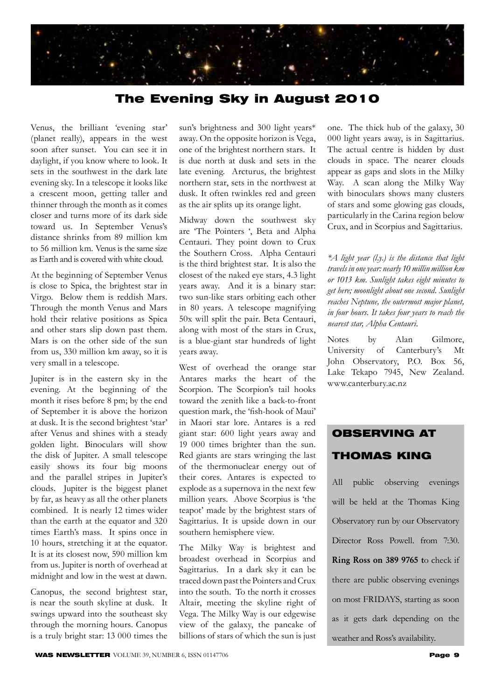

## The Evening Sky in August 2010

Venus, the brilliant 'evening star' (planet really), appears in the west soon after sunset. You can see it in daylight, if you know where to look. It sets in the southwest in the dark late evening sky. In a telescope it looks like a crescent moon, getting taller and thinner through the month as it comes closer and turns more of its dark side toward us. In September Venus's distance shrinks from 89 million km to 56 million km. Venus is the same size as Earth and is covered with white cloud.

At the beginning of September Venus is close to Spica, the brightest star in Virgo. Below them is reddish Mars. Through the month Venus and Mars hold their relative positions as Spica and other stars slip down past them. Mars is on the other side of the sun from us, 330 million km away, so it is very small in a telescope.

Jupiter is in the eastern sky in the evening. At the beginning of the month it rises before 8 pm; by the end of September it is above the horizon at dusk. It is the second brightest 'star' after Venus and shines with a steady golden light. Binoculars will show the disk of Jupiter. A small telescope easily shows its four big moons and the parallel stripes in Jupiter's clouds. Jupiter is the biggest planet by far, as heavy as all the other planets combined. It is nearly 12 times wider than the earth at the equator and 320 times Earth's mass. It spins once in 10 hours, stretching it at the equator. It is at its closest now, 590 million km from us. Jupiter is north of overhead at midnight and low in the west at dawn.

Canopus, the second brightest star, is near the south skyline at dusk. It swings upward into the southeast sky through the morning hours. Canopus is a truly bright star: 13 000 times the

sun's brightness and 300 light years\* away. On the opposite horizon is Vega, one of the brightest northern stars. It is due north at dusk and sets in the late evening. Arcturus, the brightest northern star, sets in the northwest at dusk. It often twinkles red and green as the air splits up its orange light.

Midway down the southwest sky are 'The Pointers ', Beta and Alpha Centauri. They point down to Crux the Southern Cross. Alpha Centauri is the third brightest star. It is also the closest of the naked eye stars, 4.3 light years away. And it is a binary star: two sun-like stars orbiting each other in 80 years. A telescope magnifying 50x will split the pair. Beta Centauri, along with most of the stars in Crux, is a blue-giant star hundreds of light years away.

West of overhead the orange star Antares marks the heart of the Scorpion. The Scorpion's tail hooks toward the zenith like a back-to-front question mark, the 'fish-hook of Maui' in Maori star lore. Antares is a red giant star: 600 light years away and 19 000 times brighter than the sun. Red giants are stars wringing the last of the thermonuclear energy out of their cores. Antares is expected to explode as a supernova in the next few million years. Above Scorpius is 'the teapot' made by the brightest stars of Sagittarius. It is upside down in our southern hemisphere view.

The Milky Way is brightest and broadest overhead in Scorpius and Sagittarius. In a dark sky it can be traced down past the Pointers and Crux into the south. To the north it crosses Altair, meeting the skyline right of Vega. The Milky Way is our edgewise view of the galaxy, the pancake of billions of stars of which the sun is just

one. The thick hub of the galaxy, 30 000 light years away, is in Sagittarius. The actual centre is hidden by dust clouds in space. The nearer clouds appear as gaps and slots in the Milky Way. A scan along the Milky Way with binoculars shows many clusters of stars and some glowing gas clouds, particularly in the Carina region below Crux, and in Scorpius and Sagittarius.

*\*A light year (l.y.) is the distance that light travels in one year: nearly 10 millin million km or 1013 km. Sunlight takes eight minutes to get here; moonlight about one second. Sunlight reaches Neptune, the outermost major planet, in four hours. It takes four years to reach the nearest star, Alpha Centauri.*

Notes by Alan Gilmore, University of Canterbury's Mt John Observatory, P.O. Box 56, Lake Tekapo 7945, New Zealand. www.canterbury.ac.nz

## OBSERVING AT

#### THOMAS KING

All public observing evenings will be held at the Thomas King Observatory run by our Observatory Director Ross Powell. from 7:30. Ring Ross on 389 9765 to check if there are public observing evenings on most FRIDAYS, starting as soon as it gets dark depending on the weather and Ross's availability.